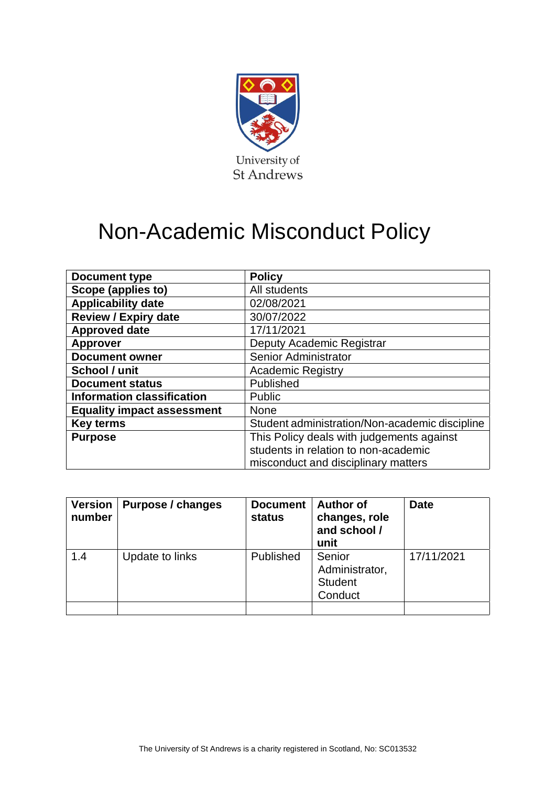

# Non-Academic Misconduct Policy

| Document type                     | <b>Policy</b>                                  |
|-----------------------------------|------------------------------------------------|
| Scope (applies to)                | All students                                   |
| <b>Applicability date</b>         | 02/08/2021                                     |
| <b>Review / Expiry date</b>       | 30/07/2022                                     |
| <b>Approved date</b>              | 17/11/2021                                     |
| <b>Approver</b>                   | Deputy Academic Registrar                      |
| <b>Document owner</b>             | Senior Administrator                           |
| School / unit                     | <b>Academic Registry</b>                       |
| <b>Document status</b>            | Published                                      |
| <b>Information classification</b> | <b>Public</b>                                  |
| <b>Equality impact assessment</b> | <b>None</b>                                    |
| <b>Key terms</b>                  | Student administration/Non-academic discipline |
| <b>Purpose</b>                    | This Policy deals with judgements against      |
|                                   | students in relation to non-academic           |
|                                   | misconduct and disciplinary matters            |

| <b>Version</b><br>number | <b>Purpose / changes</b> | <b>Document</b><br>status | <b>Author of</b><br>changes, role<br>and school /<br>unit | <b>Date</b> |
|--------------------------|--------------------------|---------------------------|-----------------------------------------------------------|-------------|
| 1.4                      | Update to links          | Published                 | Senior<br>Administrator,<br><b>Student</b><br>Conduct     | 17/11/2021  |
|                          |                          |                           |                                                           |             |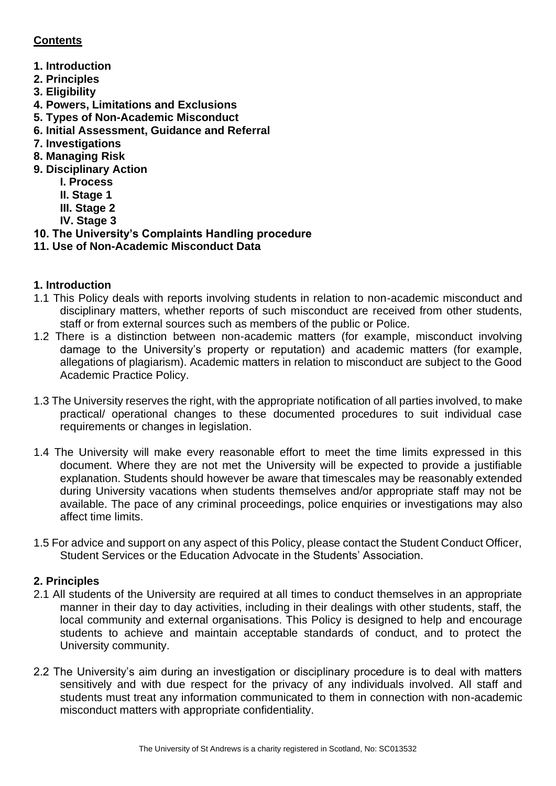# **Contents**

- **1. Introduction**
- **2. Principles**
- **3. Eligibility**
- **4. Powers, Limitations and Exclusions**
- **5. Types of Non-Academic Misconduct**
- **6. Initial Assessment, Guidance and Referral**
- **7. Investigations**
- **8. Managing Risk**
- **9. Disciplinary Action** 
	- **I. Process**
	- **II. Stage 1**
	- **III. Stage 2**
	- **IV. Stage 3**
- **10. The University's Complaints Handling procedure**
- **11. Use of Non-Academic Misconduct Data**

## **1. Introduction**

- 1.1 This Policy deals with reports involving students in relation to non-academic misconduct and disciplinary matters, whether reports of such misconduct are received from other students, staff or from external sources such as members of the public or Police.
- 1.2 There is a distinction between non-academic matters (for example, misconduct involving damage to the University's property or reputation) and academic matters (for example, allegations of plagiarism). Academic matters in relation to misconduct are subject to the Good Academic Practice Policy.
- 1.3 The University reserves the right, with the appropriate notification of all parties involved, to make practical/ operational changes to these documented procedures to suit individual case requirements or changes in legislation.
- 1.4 The University will make every reasonable effort to meet the time limits expressed in this document. Where they are not met the University will be expected to provide a justifiable explanation. Students should however be aware that timescales may be reasonably extended during University vacations when students themselves and/or appropriate staff may not be available. The pace of any criminal proceedings, police enquiries or investigations may also affect time limits.
- 1.5 For advice and support on any aspect of this Policy, please contact the Student Conduct Officer, Student Services or the Education Advocate in the Students' Association.

# **2. Principles**

- 2.1 All students of the University are required at all times to conduct themselves in an appropriate manner in their day to day activities, including in their dealings with other students, staff, the local community and external organisations. This Policy is designed to help and encourage students to achieve and maintain acceptable standards of conduct, and to protect the University community.
- 2.2 The University's aim during an investigation or disciplinary procedure is to deal with matters sensitively and with due respect for the privacy of any individuals involved. All staff and students must treat any information communicated to them in connection with non-academic misconduct matters with appropriate confidentiality.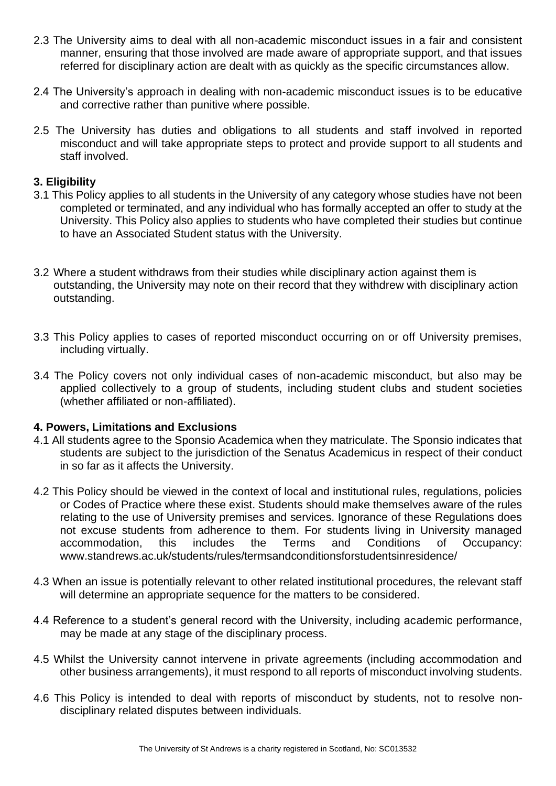- 2.3 The University aims to deal with all non-academic misconduct issues in a fair and consistent manner, ensuring that those involved are made aware of appropriate support, and that issues referred for disciplinary action are dealt with as quickly as the specific circumstances allow.
- 2.4 The University's approach in dealing with non-academic misconduct issues is to be educative and corrective rather than punitive where possible.
- 2.5 The University has duties and obligations to all students and staff involved in reported misconduct and will take appropriate steps to protect and provide support to all students and staff involved.

#### **3. Eligibility**

- 3.1 This Policy applies to all students in the University of any category whose studies have not been completed or terminated, and any individual who has formally accepted an offer to study at the University. This Policy also applies to students who have completed their studies but continue to have an Associated Student status with the University.
- 3.2 Where a student withdraws from their studies while disciplinary action against them is outstanding, the University may note on their record that they withdrew with disciplinary action outstanding.
- 3.3 This Policy applies to cases of reported misconduct occurring on or off University premises, including virtually.
- 3.4 The Policy covers not only individual cases of non-academic misconduct, but also may be applied collectively to a group of students, including student clubs and student societies (whether affiliated or non-affiliated).

#### **4. Powers, Limitations and Exclusions**

- 4.1 All students agree to the Sponsio Academica when they matriculate. The Sponsio indicates that students are subject to the jurisdiction of the Senatus Academicus in respect of their conduct in so far as it affects the University.
- 4.2 This Policy should be viewed in the context of local and institutional rules, regulations, policies or Codes of Practice where these exist. Students should make themselves aware of the rules relating to the use of University premises and services. Ignorance of these Regulations does not excuse students from adherence to them. For students living in University managed accommodation, this includes the Terms and Conditions of Occupancy: www.standrews.ac.uk/students/rules/termsandconditionsforstudentsinresidence/
- 4.3 When an issue is potentially relevant to other related institutional procedures, the relevant staff will determine an appropriate sequence for the matters to be considered.
- 4.4 Reference to a student's general record with the University, including academic performance, may be made at any stage of the disciplinary process.
- 4.5 Whilst the University cannot intervene in private agreements (including accommodation and other business arrangements), it must respond to all reports of misconduct involving students.
- 4.6 This Policy is intended to deal with reports of misconduct by students, not to resolve nondisciplinary related disputes between individuals.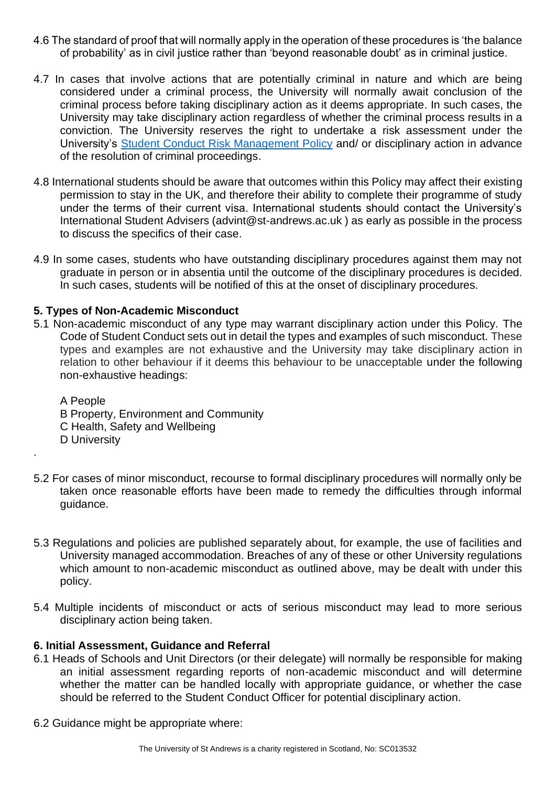- 4.6 The standard of proof that will normally apply in the operation of these procedures is 'the balance of probability' as in civil justice rather than 'beyond reasonable doubt' as in criminal justice.
- 4.7 In cases that involve actions that are potentially criminal in nature and which are being considered under a criminal process, the University will normally await conclusion of the criminal process before taking disciplinary action as it deems appropriate. In such cases, the University may take disciplinary action regardless of whether the criminal process results in a conviction. The University reserves the right to undertake a risk assessment under the University's [Student Conduct Risk Management Policy](https://www.st-andrews.ac.uk/policy/student-administration-non-academic-discipline/student-conduct-risk-management-policy.pdf) and/ or disciplinary action in advance of the resolution of criminal proceedings.
- 4.8 International students should be aware that outcomes within this Policy may affect their existing permission to stay in the UK, and therefore their ability to complete their programme of study under the terms of their current visa. International students should contact the University's International Student Advisers (advint@st-andrews.ac.uk ) as early as possible in the process to discuss the specifics of their case.
- 4.9 In some cases, students who have outstanding disciplinary procedures against them may not graduate in person or in absentia until the outcome of the disciplinary procedures is decided. In such cases, students will be notified of this at the onset of disciplinary procedures.

## **5. Types of Non-Academic Misconduct**

.

5.1 Non-academic misconduct of any type may warrant disciplinary action under this Policy. The Code of Student Conduct sets out in detail the types and examples of such misconduct. These types and examples are not exhaustive and the University may take disciplinary action in relation to other behaviour if it deems this behaviour to be unacceptable under the following non-exhaustive headings:

A People B Property, Environment and Community C Health, Safety and Wellbeing D University

- 5.2 For cases of minor misconduct, recourse to formal disciplinary procedures will normally only be taken once reasonable efforts have been made to remedy the difficulties through informal guidance.
- 5.3 Regulations and policies are published separately about, for example, the use of facilities and University managed accommodation. Breaches of any of these or other University regulations which amount to non-academic misconduct as outlined above, may be dealt with under this policy.
- 5.4 Multiple incidents of misconduct or acts of serious misconduct may lead to more serious disciplinary action being taken.

#### **6. Initial Assessment, Guidance and Referral**

- 6.1 Heads of Schools and Unit Directors (or their delegate) will normally be responsible for making an initial assessment regarding reports of non-academic misconduct and will determine whether the matter can be handled locally with appropriate guidance, or whether the case should be referred to the Student Conduct Officer for potential disciplinary action.
- 6.2 Guidance might be appropriate where: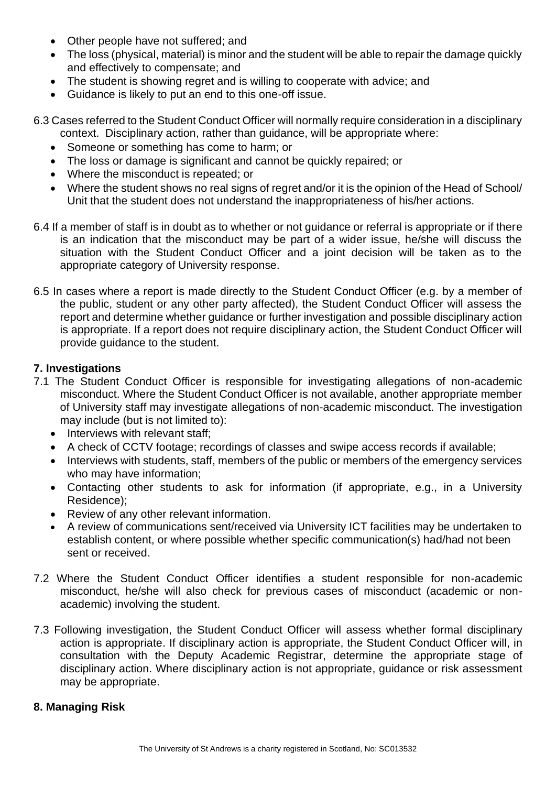- Other people have not suffered; and
- The loss (physical, material) is minor and the student will be able to repair the damage quickly and effectively to compensate; and
- The student is showing regret and is willing to cooperate with advice; and
- Guidance is likely to put an end to this one-off issue.
- 6.3 Cases referred to the Student Conduct Officer will normally require consideration in a disciplinary context. Disciplinary action, rather than guidance, will be appropriate where:
	- Someone or something has come to harm; or
	- The loss or damage is significant and cannot be quickly repaired; or
	- Where the misconduct is repeated; or
	- Where the student shows no real signs of regret and/or it is the opinion of the Head of School/ Unit that the student does not understand the inappropriateness of his/her actions.
- 6.4 If a member of staff is in doubt as to whether or not guidance or referral is appropriate or if there is an indication that the misconduct may be part of a wider issue, he/she will discuss the situation with the Student Conduct Officer and a joint decision will be taken as to the appropriate category of University response.
- 6.5 In cases where a report is made directly to the Student Conduct Officer (e.g. by a member of the public, student or any other party affected), the Student Conduct Officer will assess the report and determine whether guidance or further investigation and possible disciplinary action is appropriate. If a report does not require disciplinary action, the Student Conduct Officer will provide guidance to the student.

## **7. Investigations**

- 7.1 The Student Conduct Officer is responsible for investigating allegations of non-academic misconduct. Where the Student Conduct Officer is not available, another appropriate member of University staff may investigate allegations of non-academic misconduct. The investigation may include (but is not limited to):
	- Interviews with relevant staff;
	- A check of CCTV footage; recordings of classes and swipe access records if available;
	- Interviews with students, staff, members of the public or members of the emergency services who may have information;
	- Contacting other students to ask for information (if appropriate, e.g., in a University Residence);
	- Review of any other relevant information.
	- A review of communications sent/received via University ICT facilities may be undertaken to establish content, or where possible whether specific communication(s) had/had not been sent or received.
- 7.2 Where the Student Conduct Officer identifies a student responsible for non-academic misconduct, he/she will also check for previous cases of misconduct (academic or nonacademic) involving the student.
- 7.3 Following investigation, the Student Conduct Officer will assess whether formal disciplinary action is appropriate. If disciplinary action is appropriate, the Student Conduct Officer will, in consultation with the Deputy Academic Registrar, determine the appropriate stage of disciplinary action. Where disciplinary action is not appropriate, guidance or risk assessment may be appropriate.

#### **8. Managing Risk**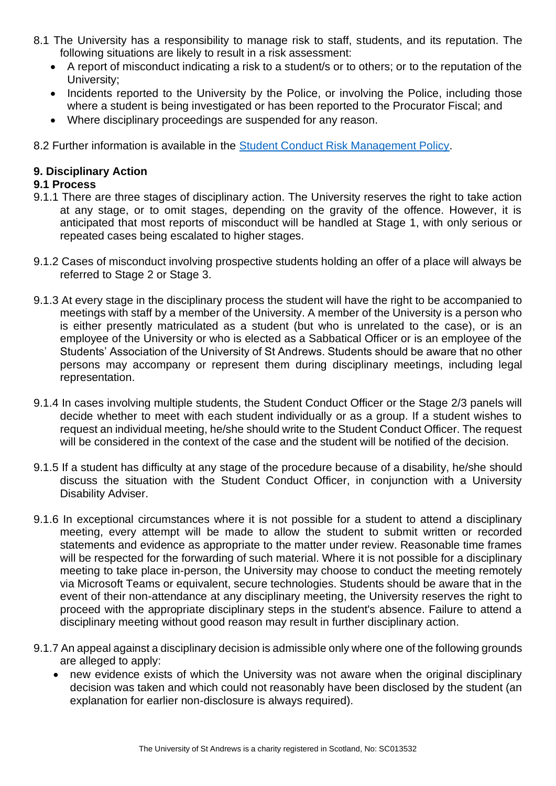- 8.1 The University has a responsibility to manage risk to staff, students, and its reputation. The following situations are likely to result in a risk assessment:
	- A report of misconduct indicating a risk to a student/s or to others; or to the reputation of the University;
	- Incidents reported to the University by the Police, or involving the Police, including those where a student is being investigated or has been reported to the Procurator Fiscal; and
	- Where disciplinary proceedings are suspended for any reason.

8.2 Further information is available in the [Student Conduct Risk Management Policy.](https://www.st-andrews.ac.uk/policy/student-administration-non-academic-discipline/student-conduct-risk-management-policy.pdf)

## **9. Disciplinary Action**

## **9.1 Process**

- 9.1.1 There are three stages of disciplinary action. The University reserves the right to take action at any stage, or to omit stages, depending on the gravity of the offence. However, it is anticipated that most reports of misconduct will be handled at Stage 1, with only serious or repeated cases being escalated to higher stages.
- 9.1.2 Cases of misconduct involving prospective students holding an offer of a place will always be referred to Stage 2 or Stage 3.
- 9.1.3 At every stage in the disciplinary process the student will have the right to be accompanied to meetings with staff by a member of the University. A member of the University is a person who is either presently matriculated as a student (but who is unrelated to the case), or is an employee of the University or who is elected as a Sabbatical Officer or is an employee of the Students' Association of the University of St Andrews. Students should be aware that no other persons may accompany or represent them during disciplinary meetings, including legal representation.
- 9.1.4 In cases involving multiple students, the Student Conduct Officer or the Stage 2/3 panels will decide whether to meet with each student individually or as a group. If a student wishes to request an individual meeting, he/she should write to the Student Conduct Officer. The request will be considered in the context of the case and the student will be notified of the decision.
- 9.1.5 If a student has difficulty at any stage of the procedure because of a disability, he/she should discuss the situation with the Student Conduct Officer, in conjunction with a University Disability Adviser.
- 9.1.6 In exceptional circumstances where it is not possible for a student to attend a disciplinary meeting, every attempt will be made to allow the student to submit written or recorded statements and evidence as appropriate to the matter under review. Reasonable time frames will be respected for the forwarding of such material. Where it is not possible for a disciplinary meeting to take place in-person, the University may choose to conduct the meeting remotely via Microsoft Teams or equivalent, secure technologies. Students should be aware that in the event of their non-attendance at any disciplinary meeting, the University reserves the right to proceed with the appropriate disciplinary steps in the student's absence. Failure to attend a disciplinary meeting without good reason may result in further disciplinary action.
- 9.1.7 An appeal against a disciplinary decision is admissible only where one of the following grounds are alleged to apply:
	- new evidence exists of which the University was not aware when the original disciplinary decision was taken and which could not reasonably have been disclosed by the student (an explanation for earlier non-disclosure is always required).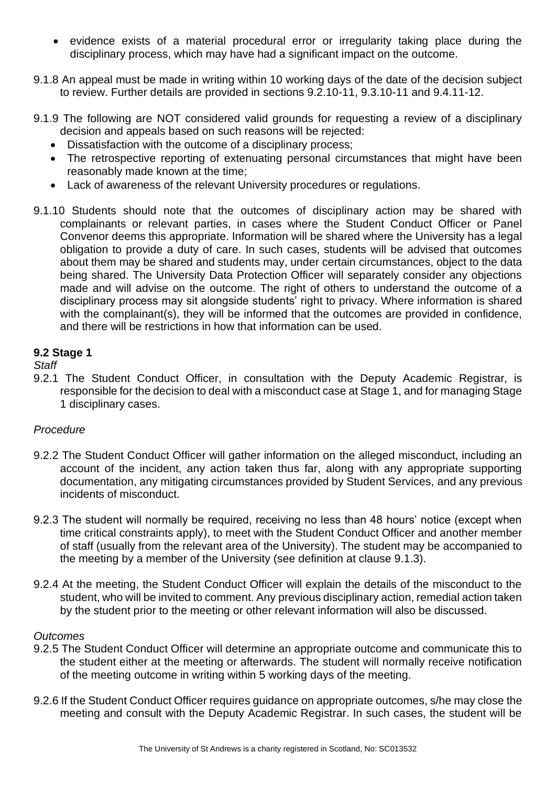- evidence exists of a material procedural error or irregularity taking place during the disciplinary process, which may have had a significant impact on the outcome.
- 9.1.8 An appeal must be made in writing within 10 working days of the date of the decision subject to review. Further details are provided in sections 9.2.10-11, 9.3.10-11 and 9.4.11-12.
- 9.1.9 The following are NOT considered valid grounds for requesting a review of a disciplinary decision and appeals based on such reasons will be rejected:
	- Dissatisfaction with the outcome of a disciplinary process;
	- The retrospective reporting of extenuating personal circumstances that might have been reasonably made known at the time;
	- Lack of awareness of the relevant University procedures or regulations.
- 9.1.10 Students should note that the outcomes of disciplinary action may be shared with complainants or relevant parties, in cases where the Student Conduct Officer or Panel Convenor deems this appropriate. Information will be shared where the University has a legal obligation to provide a duty of care. In such cases, students will be advised that outcomes about them may be shared and students may, under certain circumstances, object to the data being shared. The University Data Protection Officer will separately consider any objections made and will advise on the outcome. The right of others to understand the outcome of a disciplinary process may sit alongside students' right to privacy. Where information is shared with the complainant(s), they will be informed that the outcomes are provided in confidence, and there will be restrictions in how that information can be used.

#### **9.2 Stage 1**

# *Staff*

9.2.1 The Student Conduct Officer, in consultation with the Deputy Academic Registrar, is responsible for the decision to deal with a misconduct case at Stage 1, and for managing Stage 1 disciplinary cases.

#### *Procedure*

- 9.2.2 The Student Conduct Officer will gather information on the alleged misconduct, including an account of the incident, any action taken thus far, along with any appropriate supporting documentation, any mitigating circumstances provided by Student Services, and any previous incidents of misconduct.
- 9.2.3 The student will normally be required, receiving no less than 48 hours' notice (except when time critical constraints apply), to meet with the Student Conduct Officer and another member of staff (usually from the relevant area of the University). The student may be accompanied to the meeting by a member of the University (see definition at clause 9.1.3).
- 9.2.4 At the meeting, the Student Conduct Officer will explain the details of the misconduct to the student, who will be invited to comment. Any previous disciplinary action, remedial action taken by the student prior to the meeting or other relevant information will also be discussed.

#### *Outcomes*

- 9.2.5 The Student Conduct Officer will determine an appropriate outcome and communicate this to the student either at the meeting or afterwards. The student will normally receive notification of the meeting outcome in writing within 5 working days of the meeting.
- 9.2.6 If the Student Conduct Officer requires guidance on appropriate outcomes, s/he may close the meeting and consult with the Deputy Academic Registrar. In such cases, the student will be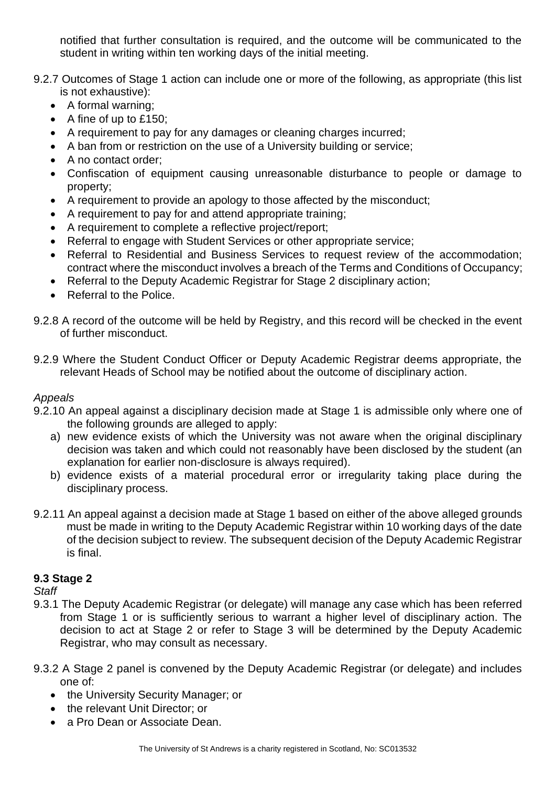notified that further consultation is required, and the outcome will be communicated to the student in writing within ten working days of the initial meeting.

- 9.2.7 Outcomes of Stage 1 action can include one or more of the following, as appropriate (this list is not exhaustive):
	- A formal warning;
	- A fine of up to £150;
	- A requirement to pay for any damages or cleaning charges incurred;
	- A ban from or restriction on the use of a University building or service;
	- A no contact order:
	- Confiscation of equipment causing unreasonable disturbance to people or damage to property;
	- A requirement to provide an apology to those affected by the misconduct;
	- A requirement to pay for and attend appropriate training;
	- A requirement to complete a reflective project/report;
	- Referral to engage with Student Services or other appropriate service;
	- Referral to Residential and Business Services to request review of the accommodation; contract where the misconduct involves a breach of the Terms and Conditions of Occupancy;
	- Referral to the Deputy Academic Registrar for Stage 2 disciplinary action:
	- Referral to the Police.
- 9.2.8 A record of the outcome will be held by Registry, and this record will be checked in the event of further misconduct.
- 9.2.9 Where the Student Conduct Officer or Deputy Academic Registrar deems appropriate, the relevant Heads of School may be notified about the outcome of disciplinary action.

# *Appeals*

- 9.2.10 An appeal against a disciplinary decision made at Stage 1 is admissible only where one of the following grounds are alleged to apply:
	- a) new evidence exists of which the University was not aware when the original disciplinary decision was taken and which could not reasonably have been disclosed by the student (an explanation for earlier non-disclosure is always required).
	- b) evidence exists of a material procedural error or irregularity taking place during the disciplinary process.
- 9.2.11 An appeal against a decision made at Stage 1 based on either of the above alleged grounds must be made in writing to the Deputy Academic Registrar within 10 working days of the date of the decision subject to review. The subsequent decision of the Deputy Academic Registrar is final.

# **9.3 Stage 2**

*Staff* 

- 9.3.1 The Deputy Academic Registrar (or delegate) will manage any case which has been referred from Stage 1 or is sufficiently serious to warrant a higher level of disciplinary action. The decision to act at Stage 2 or refer to Stage 3 will be determined by the Deputy Academic Registrar, who may consult as necessary.
- 9.3.2 A Stage 2 panel is convened by the Deputy Academic Registrar (or delegate) and includes one of:
	- the University Security Manager; or
	- the relevant Unit Director; or
	- a Pro Dean or Associate Dean.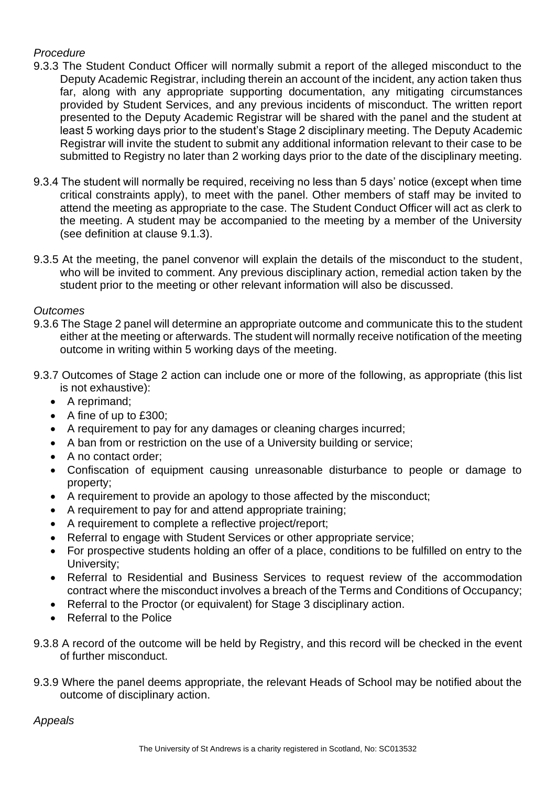# *Procedure*

- 9.3.3 The Student Conduct Officer will normally submit a report of the alleged misconduct to the Deputy Academic Registrar, including therein an account of the incident, any action taken thus far, along with any appropriate supporting documentation, any mitigating circumstances provided by Student Services, and any previous incidents of misconduct. The written report presented to the Deputy Academic Registrar will be shared with the panel and the student at least 5 working days prior to the student's Stage 2 disciplinary meeting. The Deputy Academic Registrar will invite the student to submit any additional information relevant to their case to be submitted to Registry no later than 2 working days prior to the date of the disciplinary meeting.
- 9.3.4 The student will normally be required, receiving no less than 5 days' notice (except when time critical constraints apply), to meet with the panel. Other members of staff may be invited to attend the meeting as appropriate to the case. The Student Conduct Officer will act as clerk to the meeting. A student may be accompanied to the meeting by a member of the University (see definition at clause 9.1.3).
- 9.3.5 At the meeting, the panel convenor will explain the details of the misconduct to the student, who will be invited to comment. Any previous disciplinary action, remedial action taken by the student prior to the meeting or other relevant information will also be discussed.

*Outcomes* 

- 9.3.6 The Stage 2 panel will determine an appropriate outcome and communicate this to the student either at the meeting or afterwards. The student will normally receive notification of the meeting outcome in writing within 5 working days of the meeting.
- 9.3.7 Outcomes of Stage 2 action can include one or more of the following, as appropriate (this list is not exhaustive):
	- A reprimand;
	- A fine of up to £300;
	- A requirement to pay for any damages or cleaning charges incurred:
	- A ban from or restriction on the use of a University building or service;
	- A no contact order:
	- Confiscation of equipment causing unreasonable disturbance to people or damage to property;
	- A requirement to provide an apology to those affected by the misconduct;
	- A requirement to pay for and attend appropriate training;
	- A requirement to complete a reflective project/report;
	- Referral to engage with Student Services or other appropriate service:
	- For prospective students holding an offer of a place, conditions to be fulfilled on entry to the University;
	- Referral to Residential and Business Services to request review of the accommodation contract where the misconduct involves a breach of the Terms and Conditions of Occupancy;
	- Referral to the Proctor (or equivalent) for Stage 3 disciplinary action.
	- Referral to the Police
- 9.3.8 A record of the outcome will be held by Registry, and this record will be checked in the event of further misconduct.
- 9.3.9 Where the panel deems appropriate, the relevant Heads of School may be notified about the outcome of disciplinary action.

*Appeals*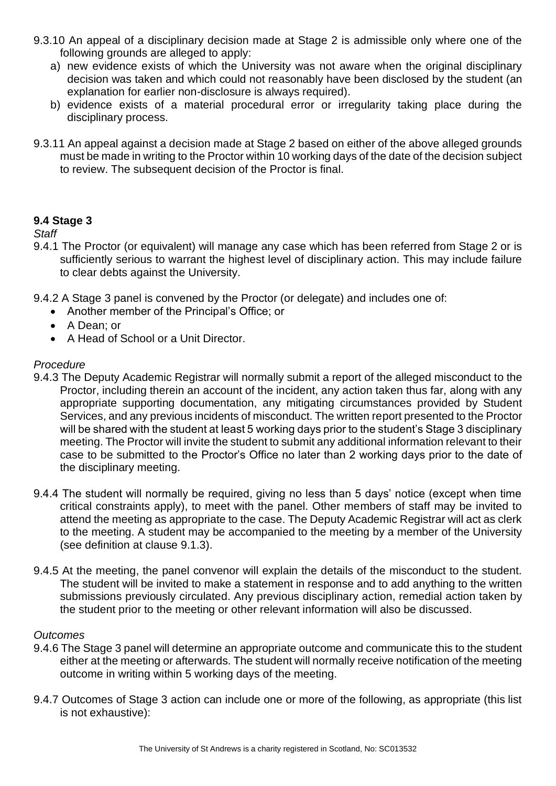- 9.3.10 An appeal of a disciplinary decision made at Stage 2 is admissible only where one of the following grounds are alleged to apply:
	- a) new evidence exists of which the University was not aware when the original disciplinary decision was taken and which could not reasonably have been disclosed by the student (an explanation for earlier non-disclosure is always required).
	- b) evidence exists of a material procedural error or irregularity taking place during the disciplinary process.
- 9.3.11 An appeal against a decision made at Stage 2 based on either of the above alleged grounds must be made in writing to the Proctor within 10 working days of the date of the decision subject to review. The subsequent decision of the Proctor is final.

# **9.4 Stage 3**

## *Staff*

- 9.4.1 The Proctor (or equivalent) will manage any case which has been referred from Stage 2 or is sufficiently serious to warrant the highest level of disciplinary action. This may include failure to clear debts against the University.
- 9.4.2 A Stage 3 panel is convened by the Proctor (or delegate) and includes one of:
	- Another member of the Principal's Office; or
	- A Dean; or
	- A Head of School or a Unit Director.

#### *Procedure*

- 9.4.3 The Deputy Academic Registrar will normally submit a report of the alleged misconduct to the Proctor, including therein an account of the incident, any action taken thus far, along with any appropriate supporting documentation, any mitigating circumstances provided by Student Services, and any previous incidents of misconduct. The written report presented to the Proctor will be shared with the student at least 5 working days prior to the student's Stage 3 disciplinary meeting. The Proctor will invite the student to submit any additional information relevant to their case to be submitted to the Proctor's Office no later than 2 working days prior to the date of the disciplinary meeting.
- 9.4.4 The student will normally be required, giving no less than 5 days' notice (except when time critical constraints apply), to meet with the panel. Other members of staff may be invited to attend the meeting as appropriate to the case. The Deputy Academic Registrar will act as clerk to the meeting. A student may be accompanied to the meeting by a member of the University (see definition at clause 9.1.3).
- 9.4.5 At the meeting, the panel convenor will explain the details of the misconduct to the student. The student will be invited to make a statement in response and to add anything to the written submissions previously circulated. Any previous disciplinary action, remedial action taken by the student prior to the meeting or other relevant information will also be discussed.

#### *Outcomes*

- 9.4.6 The Stage 3 panel will determine an appropriate outcome and communicate this to the student either at the meeting or afterwards. The student will normally receive notification of the meeting outcome in writing within 5 working days of the meeting.
- 9.4.7 Outcomes of Stage 3 action can include one or more of the following, as appropriate (this list is not exhaustive):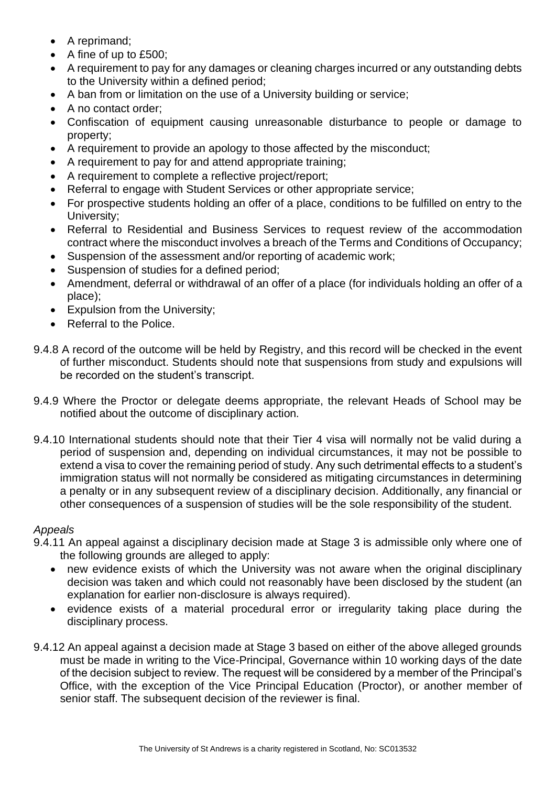- A reprimand;
- A fine of up to £500;
- A requirement to pay for any damages or cleaning charges incurred or any outstanding debts to the University within a defined period;
- A ban from or limitation on the use of a University building or service;
- A no contact order:
- Confiscation of equipment causing unreasonable disturbance to people or damage to property;
- A requirement to provide an apology to those affected by the misconduct;
- A requirement to pay for and attend appropriate training;
- A requirement to complete a reflective project/report;
- Referral to engage with Student Services or other appropriate service;
- For prospective students holding an offer of a place, conditions to be fulfilled on entry to the University;
- Referral to Residential and Business Services to request review of the accommodation contract where the misconduct involves a breach of the Terms and Conditions of Occupancy;
- Suspension of the assessment and/or reporting of academic work;
- Suspension of studies for a defined period;
- Amendment, deferral or withdrawal of an offer of a place (for individuals holding an offer of a place);
- Expulsion from the University;
- Referral to the Police.
- 9.4.8 A record of the outcome will be held by Registry, and this record will be checked in the event of further misconduct. Students should note that suspensions from study and expulsions will be recorded on the student's transcript.
- 9.4.9 Where the Proctor or delegate deems appropriate, the relevant Heads of School may be notified about the outcome of disciplinary action.
- 9.4.10 International students should note that their Tier 4 visa will normally not be valid during a period of suspension and, depending on individual circumstances, it may not be possible to extend a visa to cover the remaining period of study. Any such detrimental effects to a student's immigration status will not normally be considered as mitigating circumstances in determining a penalty or in any subsequent review of a disciplinary decision. Additionally, any financial or other consequences of a suspension of studies will be the sole responsibility of the student.

# *Appeals*

- 9.4.11 An appeal against a disciplinary decision made at Stage 3 is admissible only where one of the following grounds are alleged to apply:
	- new evidence exists of which the University was not aware when the original disciplinary decision was taken and which could not reasonably have been disclosed by the student (an explanation for earlier non-disclosure is always required).
	- evidence exists of a material procedural error or irregularity taking place during the disciplinary process.
- 9.4.12 An appeal against a decision made at Stage 3 based on either of the above alleged grounds must be made in writing to the Vice-Principal, Governance within 10 working days of the date of the decision subject to review. The request will be considered by a member of the Principal's Office, with the exception of the Vice Principal Education (Proctor), or another member of senior staff. The subsequent decision of the reviewer is final.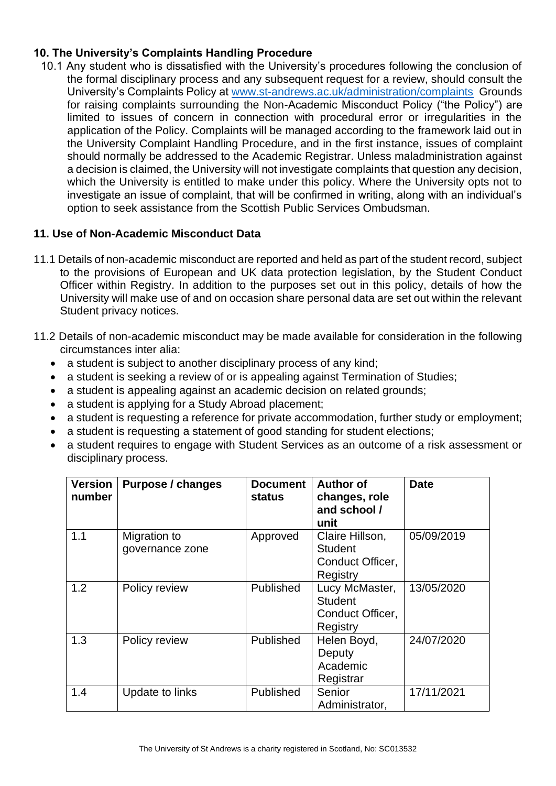# **10. The University's Complaints Handling Procedure**

10.1 Any student who is dissatisfied with the University's procedures following the conclusion of the formal disciplinary process and any subsequent request for a review, should consult the University's Complaints Policy at [www.st-andrews.ac.uk/administration/complaints](http://www.st-andrews.ac.uk/administration/complaints) Grounds for raising complaints surrounding the Non-Academic Misconduct Policy ("the Policy") are limited to issues of concern in connection with procedural error or irregularities in the application of the Policy. Complaints will be managed according to the framework laid out in the University Complaint Handling Procedure, and in the first instance, issues of complaint should normally be addressed to the Academic Registrar. Unless maladministration against a decision is claimed, the University will not investigate complaints that question any decision, which the University is entitled to make under this policy. Where the University opts not to investigate an issue of complaint, that will be confirmed in writing, along with an individual's option to seek assistance from the Scottish Public Services Ombudsman.

## **11. Use of Non-Academic Misconduct Data**

- 11.1 Details of non-academic misconduct are reported and held as part of the student record, subject to the provisions of European and UK data protection legislation, by the Student Conduct Officer within Registry. In addition to the purposes set out in this policy, details of how the University will make use of and on occasion share personal data are set out within the relevant Student privacy notices.
- 11.2 Details of non-academic misconduct may be made available for consideration in the following circumstances inter alia:
	- a student is subject to another disciplinary process of any kind:
	- a student is seeking a review of or is appealing against Termination of Studies;
	- a student is appealing against an academic decision on related grounds;
	- a student is applying for a Study Abroad placement;
	- a student is requesting a reference for private accommodation, further study or employment;
	- a student is requesting a statement of good standing for student elections;
	- a student requires to engage with Student Services as an outcome of a risk assessment or disciplinary process.

| <b>Version</b><br>number | Purpose / changes               | <b>Document</b><br><b>status</b> | <b>Author of</b><br>changes, role<br>and school /<br>unit         | <b>Date</b> |
|--------------------------|---------------------------------|----------------------------------|-------------------------------------------------------------------|-------------|
| 1.1                      | Migration to<br>governance zone | Approved                         | Claire Hillson,<br><b>Student</b><br>Conduct Officer,<br>Registry | 05/09/2019  |
| 1.2                      | Policy review                   | Published                        | Lucy McMaster,<br><b>Student</b><br>Conduct Officer,<br>Registry  | 13/05/2020  |
| 1.3                      | Policy review                   | Published                        | Helen Boyd,<br>Deputy<br>Academic<br>Registrar                    | 24/07/2020  |
| 1.4                      | Update to links                 | Published                        | Senior<br>Administrator,                                          | 17/11/2021  |